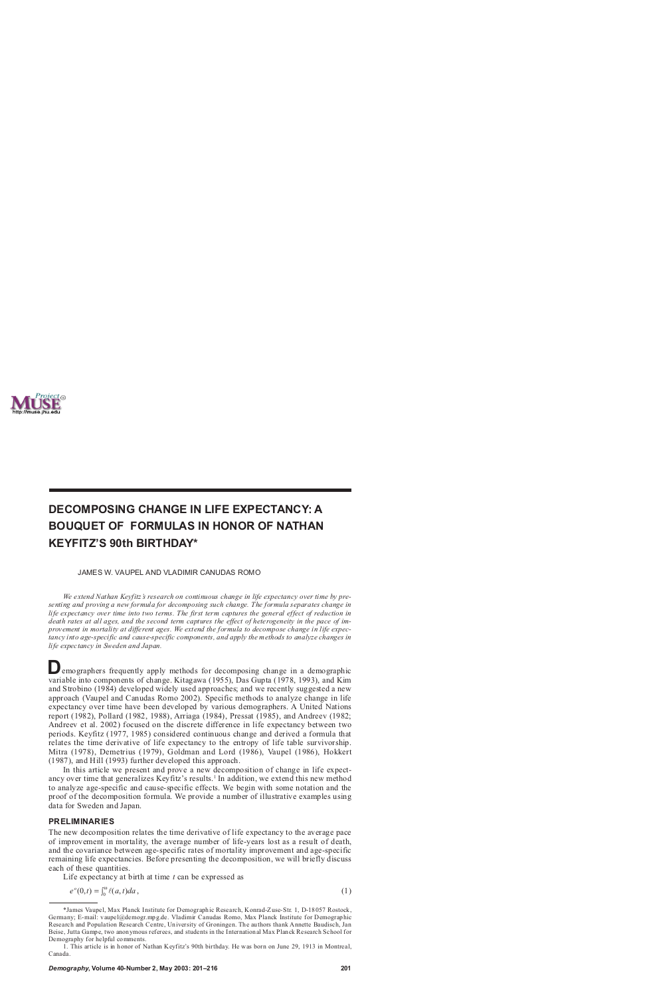

# **DECOMPOSING CHANGE IN LIFE EXPECTANCY: A BOUQUET OF FORMULAS IN HONOR OF NATHAN KEYFITZ'S 90th BIRTHDAY\***

JAMES W. VAUPEL AND VLADIMIR CANUDAS ROMO

*We extend Nathan Keyfitz's research on continuous change in life expectancy over time by presenting and proving a new formula for decomposing such change. The formula separates change in life expectancy over time into two terms. The first term captures the general effect of reduction in death rates at all ages, and the second term captures the effect of heterogeneity in the pace of improvement in mortality at different ages. We extend the formula to decompose change in life expectancy into age-specific and cause-specific components, and apply the methods to analyze changes in life expectancy in Sweden and Japan.*

**D** emographers frequently apply methods for decomposing change in a demographic variable into components of change. Kitagawa (1955), Das Gupta (1978, 1993), and Kim emographers frequently apply methods for decomposing change in a demographic and Strobino (1984) developed widely used approaches; and we recently suggested a new approach (Vaupel and Canudas Romo 2002). Specific methods to analyze change in life expectancy over time have been developed by various demographers. A United Nations report (1982), Pollard (1982, 1988), Arriaga (1984), Pressat (1985), and Andreev (1982; Andreev et al. 2002) focused on the discrete difference in life expectancy between two periods. Keyfitz (1977, 1985) considered continuous change and derived a formula that relates the time derivative of life expectancy to the entropy of life table survivorship. Mitra (1978), Demetrius (1979), Goldman and Lord (1986), Vaupel (1986), Hokkert (1987), and Hill (1993) further developed this approach.

In this article we present and prove a new decomposition of change in life expectancy over time that generalizes Keyfitz's results.<sup>1</sup> In addition, we extend this new method to analyze age-specific and cause-specific effects. We begin with some notation and the proof of the decomposition formula. We provide a number of illustrative examples using data for Sweden and Japan.

#### **PRELIMINARIES**

The new decomposition relates the time derivative of life expectancy to the average pace of improvement in mortality, the average number of life-years lost as a result of death, and the covariance between age-specific rates of mortality improvement and age-specific remaining life expectancies. Before presenting the decomposition, we will briefly discuss each of these quantities.

Life expectancy at birth at time *t* can be expressed as

$$
e^{o}(0,t) = \int_{0}^{\omega} \ell(a,t)da,
$$
 (1)

<sup>\*</sup>James Vaupel, Max Planck Institute for Demographic Research, Konrad-Zuse-Str. 1, D-18057 Rostock, Germany; E-mail: vaupel@demogr.mpg.de. Vladimir Canudas Romo, Max Planck Institute for Demographic Research and Population Research Centre, University of Groningen. The authors thank Annette Baudisch, Jan Beise, Jutta Gampe, two anonymous referees, and students in the International Max Planck Research School for Demography for helpful comments.

<sup>1.</sup> This article is in honor of Nathan Keyfitz's 90th birthday. He was born on June 29, 1913 in Montreal, Canada.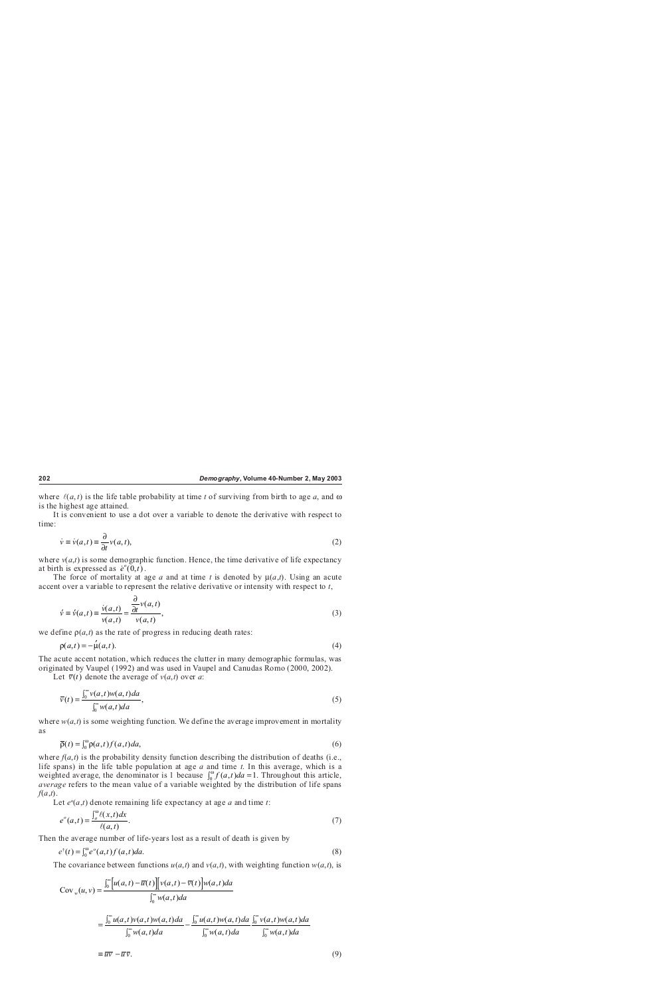where  $\ell(a,t)$  is the life table probability at time *t* of surviving from birth to age *a*, and  $\omega$ is the highest age attained.

It is convenient to use a dot over a variable to denote the derivative with respect to time:

$$
\dot{v} \equiv \dot{v}(a,t) \equiv \frac{\partial}{\partial t} v(a,t),\tag{2}
$$

where  $v(a,t)$  is some demographic function. Hence, the time derivative of life expectancy at birth is expressed as  $e^{o}(0,t)$ .

The force of mortality at age *a* and at time *t* is denoted by  $\mu(a,t)$ . Using an acute accent over a variable to represent the relative derivative or intensity with respect to *t*,

$$
\acute{\nu} \equiv \acute{\nu}(a,t) \equiv \frac{\dot{\nu}(a,t)}{\nu(a,t)} = \frac{\frac{\partial}{\partial t} \nu(a,t)}{\nu(a,t)},
$$
\n(3)

we define  $p(a,t)$  as the rate of progress in reducing death rates:

$$
\rho(a,t) = -\mu(a,t). \tag{4}
$$

The acute accent notation, which reduces the clutter in many demographic formulas, was originated by Vaupel (1992) and was used in Vaupel and Canudas Romo (2000, 2002).

Let  $\bar{v}(t)$  denote the average of  $v(a,t)$  over *a*:

$$
\overline{v}(t) = \frac{\int_0^\infty v(a,t)w(a,t)da}{\int_0^\infty w(a,t)da},\tag{5}
$$

where  $w(a,t)$  is some weighting function. We define the average improvement in mortality as

$$
\overline{\rho}(t) = \int_0^\omega \rho(a, t) f(a, t) da,\tag{6}
$$

where  $f(a,t)$  is the probability density function describing the distribution of deaths (i.e., life spans) in the life table population at age *a* and time *t*. In this average, which is a weighted average, the denominator is 1 because  $\int_0^{\omega} f(a, t) da = 1$ . Throughout this article, *average* refers to the mean value of a variable weighted by the distribution of life spans *f*(*a*,*t*).

Let  $e^{\circ}(a,t)$  denote remaining life expectancy at age  $a$  and time  $t$ :

$$
e^o(a,t) = \frac{\int_a^{\omega} \ell(x,t)dx}{\ell(a,t)}.
$$
\n<sup>(7)</sup>

Then the average number of life-years lost as a result of death is given by

$$
e^{\dagger}(t) = \int_0^{\omega} e^{\circ}(a,t)f(a,t)da.
$$
 (8)

The covariance between functions  $u(a,t)$  and  $v(a,t)$ , with weighting function  $w(a,t)$ , is

$$
Cov_w(u, v) = \frac{\int_0^\infty [u(a, t) - \overline{u}(t)] [v(a, t) - \overline{v}(t)] w(a, t) da}{\int_0^\infty w(a, t) da}
$$
  

$$
= \frac{\int_0^\infty u(a, t) v(a, t) w(a, t) da}{\int_0^\infty w(a, t) da} - \frac{\int_0^\infty u(a, t) w(a, t) da}{\int_0^\infty w(a, t) da} \frac{\int_0^\infty v(a, t) w(a, t) da}{\int_0^\infty w(a, t) da}
$$
  

$$
\equiv \overline{uv} - \overline{u} \overline{v}.
$$
 (9)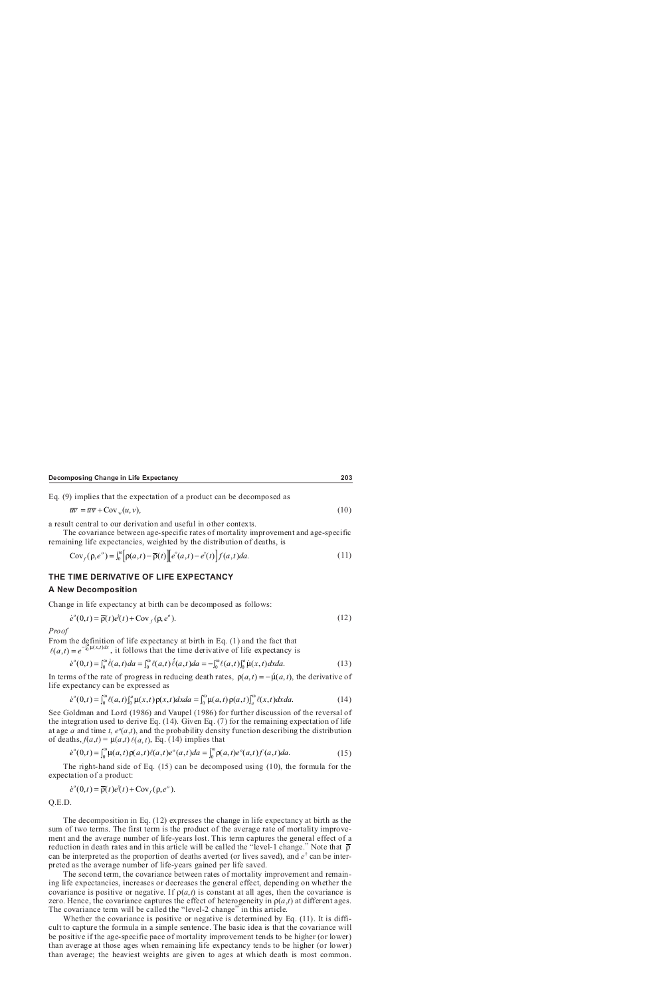Eq. (9) implies that the expectation of a product can be decomposed as

$$
\overline{uv} = \overline{u}\,\overline{v} + \text{Cov}_{w}(u,v),\tag{10}
$$

a result central to our derivation and useful in other contexts.

The covariance between age-specific rates of mortality improvement and age-specific remaining life expectancies, weighted by the distribution of deaths, is

$$
Cov_f(\rho, e^o) = \int_0^{\infty} \left[ \rho(a, t) - \overline{\rho}(t) \right] \left[ e^o(a, t) - e^{\dagger}(t) \right] f(a, t) da. \tag{11}
$$

# **THE TIME DERIVATIVE OF LIFE EXPECTANCY A New Decomposition**

Change in life expectancy at birth can be decomposed as follows:

$$
\dot{e}^{\circ}(0,t) = \overline{\rho}(t)e^{\dagger}(t) + \text{Cov}_f(\rho, e^{\circ}).
$$
\n(12)

*Proof*

ľ

 $\overline{\phantom{a}}$ 

From the definition of life expectancy at birth in Eq. (1) and the fact that  $\ell(a,t) = e^{-\int_0^b \mu(x,t)dx}$ , it follows that the time derivative of life expectancy is

$$
\dot{e}^{\circ}(0,t) = \int_0^{\omega} \dot{\ell}(a,t)da = \int_0^{\omega} \ell(a,t)\dot{\ell}(a,t)da = -\int_0^{\omega} \ell(a,t)\int_0^a \dot{\mu}(x,t)dxda.
$$
 (13)

In terms of the rate of progress in reducing death rates,  $\rho(a,t) = -\mu(a,t)$ , the derivative of life expectancy can be expressed as

$$
\dot{e}^{\circ}(0,t) = \int_0^{\omega} \ell(a,t) \int_0^a \mu(x,t) \rho(x,t) dx da = \int_0^{\omega} \mu(a,t) \rho(a,t) \int_a^{\omega} \ell(x,t) dx da.
$$
 (14)

See Goldman and Lord (1986) and Vaupel (1986) for further discussion of the reversal of the integration used to derive Eq. (14). Given Eq. (7) for the remaining expectation of life at age *a* and time *t*,  $e^{\circ}(a,t)$ , and the probability density function describing the distribution of deaths,  $f(a,t) = \mu(a,t) \ell(a,t)$ , Eq. (14) implies that

$$
\dot{e}^{\circ}(0,t) = \int_0^{\omega} \mu(a,t) \rho(a,t) \ell(a,t) e^{\circ}(a,t) da = \int_0^{\omega} \rho(a,t) e^{\circ}(a,t) f(a,t) da.
$$
 (15)

The right-hand side of Eq. (15) can be decomposed using (10), the formula for the expectation of a product:

$$
\dot{e}^{\circ}(0,t) = \overline{\rho}(t)e^{\dagger}(t) + \text{Cov}_f(\rho, e^{\circ}).
$$

Q.E.D.

ľ

The decomposition in Eq. (12) expresses the change in life expectancy at birth as the sum of two terms. The first term is the product of the average rate of mortality improvement and the average number of life-years lost. This term captures the general effect of a reduction in death rates and in this article will be called the "level-1 change." Note that  $\bar{\rho}$ can be interpreted as the proportion of deaths averted (or lives saved), and  $e^{\dagger}$  can be interpreted as the average number of life-years gained per life saved.

The second term, the covariance between rates of mortality improvement and remaining life expectancies, increases or decreases the general effect, depending on whether the covariance is positive or negative. If  $p(a,t)$  is constant at all ages, then the covariance is zero. Hence, the covariance captures the effect of heterogeneity in  $p(a,t)$  at different ages. The covariance term will be called the "level-2 change" in this article.

Whether the covariance is positive or negative is determined by Eq. (11). It is difficult to capture the formula in a simple sentence. The basic idea is that the covariance will be positive if the age-specific pace of mortality improvement tends to be higher (or lower) than average at those ages when remaining life expectancy tends to be higher (or lower) than average; the heaviest weights are given to ages at which death is most common.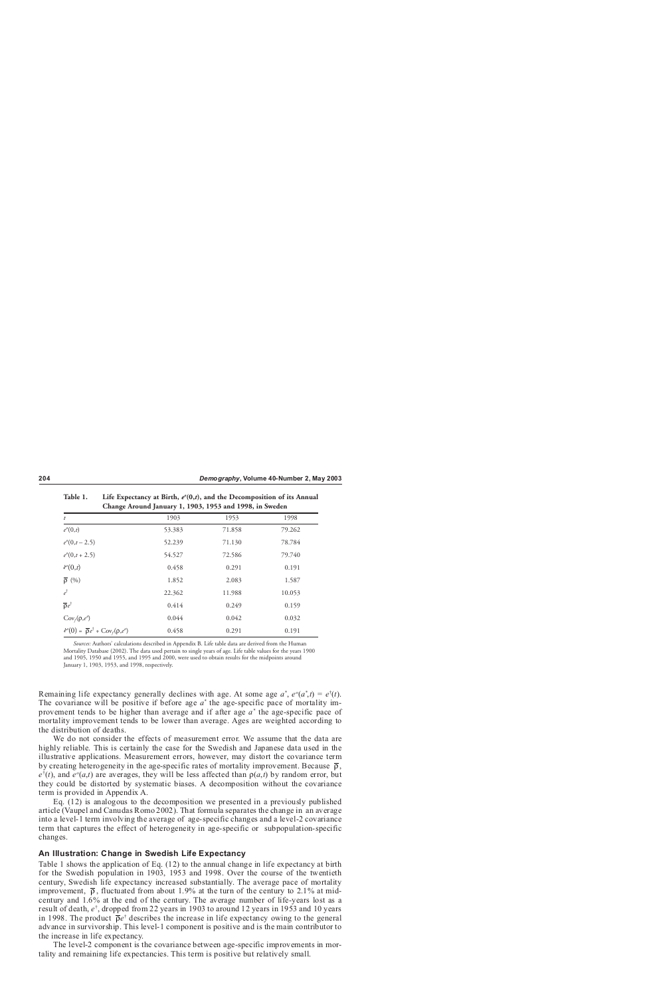|                                                                                    |        | Change Around January 1, 1903, 1953 and 1998, in Sweden |        |
|------------------------------------------------------------------------------------|--------|---------------------------------------------------------|--------|
| t                                                                                  | 1903   | 1953                                                    | 1998   |
| $e^{\theta}(0,t)$                                                                  | 53.383 | 71.858                                                  | 79.262 |
| $e^{0}(0,t-2.5)$                                                                   | 52.239 | 71.130                                                  | 78.784 |
| $e^{0}(0,t+2.5)$                                                                   | 54.527 | 72.586                                                  | 79.740 |
| $\dot{e}^{\theta}(0,t)$                                                            | 0.458  | 0.291                                                   | 0.191  |
| $\overline{\rho}$ (%)                                                              | 1.852  | 2.083                                                   | 1.587  |
| $e^{\dagger}$                                                                      | 22.362 | 11.988                                                  | 10.053 |
| $\overline{\rho}e^{\dagger}$                                                       | 0.414  | 0.249                                                   | 0.159  |
| $Cov_f(\rho, e^{\rho})$                                                            | 0.044  | 0.042                                                   | 0.032  |
| $\dot{e}^{\circ}(0) = \overline{\rho} e^{\dagger} + \text{Cov}_f(\rho, e^{\circ})$ | 0.458  | 0.291                                                   | 0.191  |

Table 1. Life Expectancy at Birth,  $e^o(0,t)$ , and the Decomposition of its Annual

*Sources:* Authors' calculations described in Appendix B. Life table data are derived from the Human Mortality Database (2002). The data used pertain to single years of age. Life table values for the years 1900 and 1905, 1950 and 1955, and 1995 and 2000, were used to obtain results for the midpoints around January 1, 1903, 1953, and 1998, respectively.

Remaining life expectancy generally declines with age. At some age  $a^*$ ,  $e^o(a^*$ ,  $t$ ) =  $e^{\dagger}(t)$ . The covariance will be positive if before age  $a^*$  the age-specific pace of mortality improvement tends to be higher than average and if after age *a*\* the age-specific pace of mortality improvement tends to be lower than average. Ages are weighted according to the distribution of deaths.

We do not consider the effects of measurement error. We assume that the data are highly reliable. This is certainly the case for the Swedish and Japanese data used in the illustrative applications. Measurement errors, however, may distort the covariance term by creating heterogeneity in the age-specific rates of mortality improvement. Because  $\bar{\rho}$ ,  $e^{\dagger}(t)$ , and  $e^{\circ}(a,t)$  are averages, they will be less affected than  $\rho(a,t)$  by random error, but they could be distorted by systematic biases. A decomposition without the covariance term is provided in Appendix A.

Eq. (12) is analogous to the decomposition we presented in a previously published article (Vaupel and Canudas Romo 2002). That formula separates the change in an average into a level-1 term involving the average of age-specific changes and a level-2 covariance term that captures the effect of heterogeneity in age-specific or subpopulation-specific changes.

# **An Illustration: Change in Swedish Life Expectancy**

Table 1 shows the application of Eq. (12) to the annual change in life expectancy at birth for the Swedish population in 1903, 1953 and 1998. Over the course of the twentieth century, Swedish life expectancy increased substantially. The average pace of mortality improvement,  $\bar{\rho}$ , fluctuated from about 1.9% at the turn of the century to 2.1% at midcentury and 1.6% at the end of the century. The average number of life-years lost as a result of death,  $e^{\dagger}$ , dropped from 22 years in 1903 to around 12 years in 1953 and 10 years in 1998. The product  $\overline{\rho}e^{\dagger}$  describes the increase in life expectancy owing to the general advance in survivorship. This level-1 component is positive and is the main contributor to the increase in life expectancy.

The level-2 component is the covariance between age-specific improvements in mortality and remaining life expectancies. This term is positive but relatively small.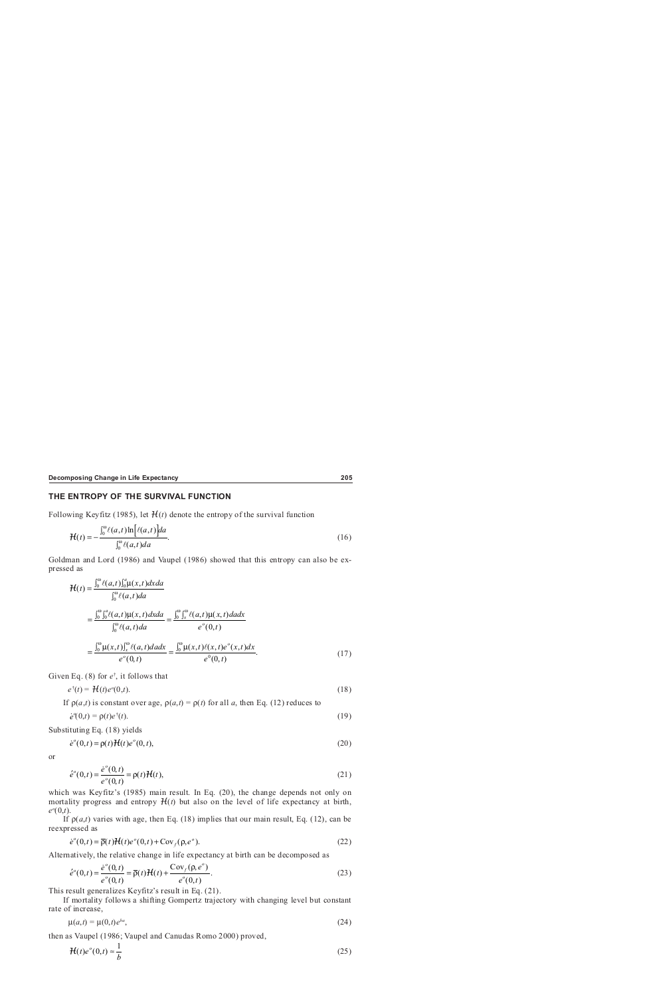# **THE ENTROPY OF THE SURVIVAL FUNCTION**

Following Keyfitz (1985), let  $H(t)$  denote the entropy of the survival function

$$
\mathcal{H}(t) = -\frac{\int_0^\omega \ell(a,t) \ln[\ell(a,t)] da}{\int_0^\omega \ell(a,t) da}.
$$
\n(16)

Goldman and Lord (1986) and Vaupel (1986) showed that this entropy can also be expressed as

$$
\mathcal{H}(t) = \frac{\int_0^{\omega} \ell(a,t) \int_0^a \mu(x,t) dxda}{\int_0^{\omega} \ell(a,t)da}
$$
\n
$$
= \frac{\int_0^{\omega} \int_0^a \ell(a,t) \mu(x,t) dxda}{\int_0^{\omega} \ell(a,t)da} = \frac{\int_0^{\omega} \int_x^{\omega} \ell(a,t) \mu(x,t) dxdx}{e^o(0,t)}
$$
\n
$$
= \frac{\int_0^{\omega} \mu(x,t) \int_x^{\omega} \ell(a,t) dadx}{e^o(0,t)} = \frac{\int_0^{\omega} \mu(x,t) \ell(x,t) e^o(x,t) dx}{e^o(0,t)}.
$$
\n(17)

Given Eq. (8) for *e*† , it follows that

$$
e^{\dagger}(t) = \mathcal{H}(t)e^{o}(0,t).
$$
 (18)

If  $ρ(a,t)$  is constant over age,  $ρ(a,t) = ρ(t)$  for all *a*, then Eq. (12) reduces to

$$
\dot{e}^o(0,t) = \rho(t)e^{\dagger}(t). \tag{19}
$$

Substituting Eq. (18) yields

$$
\dot{e}^{\circ}(0,t) = \rho(t)H(t)e^{\circ}(0,t),
$$
\n(20)

or

ľ

$$
\dot{e}^{\circ}(0,t) = \frac{\dot{e}^{\circ}(0,t)}{e^{\circ}(0,t)} = \rho(t)\mathcal{H}(t),
$$
\n(21)

which was Keyfitz's (1985) main result. In Eq. (20), the change depends not only on mortality progress and entropy  $H(t)$  but also on the level of life expectancy at birth, *eo* (0,*t*).

If  $p(a,t)$  varies with age, then Eq. (18) implies that our main result, Eq. (12), can be reexpressed as

$$
\dot{e}^{\circ}(0,t) = \overline{\rho}(t)H(t)e^{\circ}(0,t) + \text{Cov}_f(\rho, e^{\circ}).
$$
\n(22)

Alternatively, the relative change in life expectancy at birth can be decomposed as

$$
\acute{e}^{\circ}(0,t) = \frac{\dot{e}^{\circ}(0,t)}{e^{\circ}(0,t)} = \overline{\rho}(t)H(t) + \frac{\text{Cov}_{f}(\rho, e^{\circ})}{e^{\circ}(0,t)}.
$$
\n(23)

This result generalizes Keyfitz's result in Eq. (21).

If mortality follows a shifting Gompertz trajectory with changing level but constant rate of increase,

$$
\mu(a,t) = \mu(0,t)e^{ba},\tag{24}
$$

then as Vaupel (1986; Vaupel and Canudas Romo 2000) proved,

$$
\mathcal{H}(t)e^o(0,t) \approx \frac{1}{b} \tag{25}
$$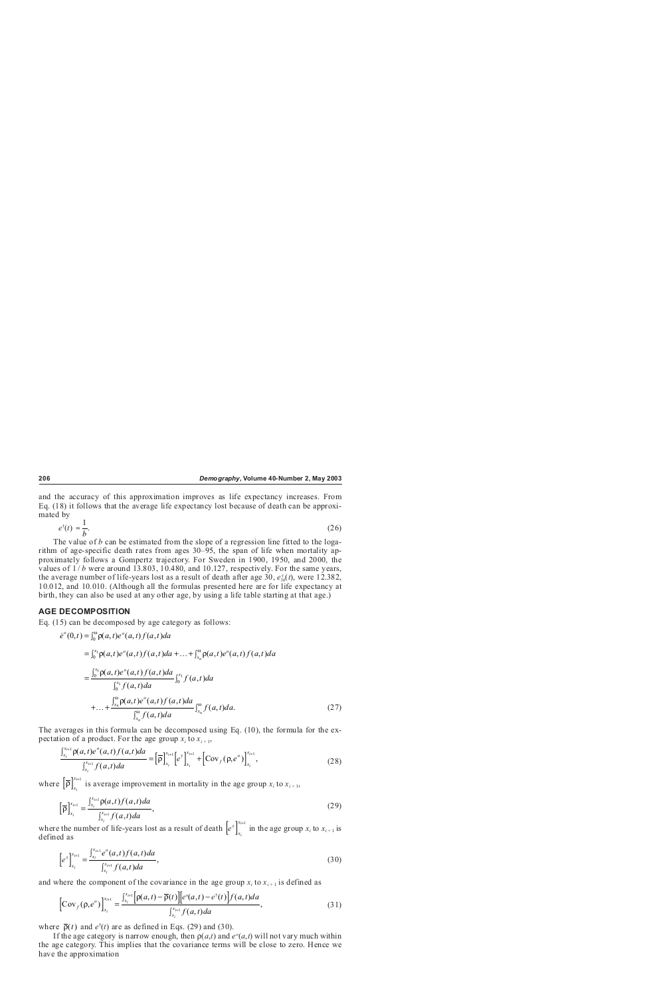and the accuracy of this approximation improves as life expectancy increases. From Eq. (18) it follows that the average life expectancy lost because of death can be approximated by

$$
e^{\dagger}(t) \approx \frac{1}{b}.
$$
 (26)

The value of *b* can be estimated from the slope of a regression line fitted to the logarithm of age-specific death rates from ages 30–95, the span of life when mortality approximately follows a Gompertz trajectory. For Sweden in 1900, 1950, and 2000, the values of  $1/b$  were around 13.803, 10.480, and 10.127, respectively. For the same years, the average number of life-years lost as a result of death after age 30,  $e_{30}^{\dagger}(t)$ , were 12.382, 10.012, and 10.010. (Although all the formulas presented here are for life expectancy at birth, they can also be used at any other age, by using a life table starting at that age.)

# **AGE DECOMPOSITION**

Eq. (15) can be decomposed by age category as follows:

$$
\dot{e}^{\circ}(0,t) = \int_{0}^{\infty} \rho(a,t)e^{\circ}(a,t)f(a,t)da
$$
  
\n
$$
= \int_{0}^{x_1} \rho(a,t)e^{\circ}(a,t)f(a,t)da + ... + \int_{x_n}^{\infty} \rho(a,t)e^{\circ}(a,t)f(a,t)da
$$
  
\n
$$
= \frac{\int_{0}^{x_1} \rho(a,t)e^{\circ}(a,t)f(a,t)da}{\int_{0}^{x_1} f(a,t)da} \int_{0}^{x_1} f(a,t)da
$$
  
\n
$$
+ ... + \frac{\int_{x_n}^{\infty} \rho(a,t)e^{\circ}(a,t)f(a,t)da}{\int_{x_n}^{\infty} f(a,t)da} \int_{x_n}^{\infty} f(a,t)da.
$$
 (27)

The averages in this formula can be decomposed using Eq. (10), the formula for the expectation of a product. For the age group  $x_i$  to  $x_{i+1}$ ,

$$
\frac{\int_{x_i}^{x_{i+1}} \rho(a,t)e^o(a,t)f(a,t)da}{\int_{x_i}^{x_{i+1}} f(a,t)da} = \left[\overline{\rho}\right]_{x_i}^{x_{i+1}} \left[e^{\dagger}\right]_{x_i}^{x_{i+1}} + \left[{\rm Cov}_f(\rho,e^o)\right]_{x_i}^{x_{i+1}},\tag{28}
$$

where  $\left[\overline{\rho}\right]_{x_i}^{x_{i+1}}$ *x i* <sup>*i*+1</sup> is average improvement in mortality in the age group  $x_i$  to  $x_{i+1}$ ,

$$
\left[\overline{\rho}\right]_{x_i}^{x_{i+1}} = \frac{\int_{x_i}^{x_{i+1}} \rho(a,t) f(a,t) da}{\int_{x_i}^{x_{i+1}} f(a,t) da},\tag{29}
$$

where the number of life-years lost as a result of death  $\left[ e^{\dagger} \right]_{x_i}^{x_i}$ *x i*  $e^{\dagger}$  in the age group  $x_i$  to  $x_{i+1}$  is defined as

$$
\left[e^{\dagger}\right]_{x_i}^{x_{i+1}} = \frac{\int_{x_i}^{x_{i+1}} e^o(a,t) f(a,t) da}{\int_{x_i}^{x_{i+1}} f(a,t) da},\tag{30}
$$

and where the component of the covariance in the age group  $x_i$  to  $x_{i+1}$  is defined as

$$
\[Cov_f(\rho, e^o)\]_{x_i}^{x_{i+1}} = \frac{\int_{x_i}^{x_{i+1}} [\rho(a, t) - \overline{\rho}(t)][e^o(a, t) - e^{\dagger}(t)] f(a, t) da}{\int_{x_i}^{x_{i+1}} f(a, t) da},\tag{31}
$$

where  $\bar{\rho}(t)$  and  $e^{\dagger}(t)$  are as defined in Eqs. (29) and (30).

If the age category is narrow enough, then  $p(a,t)$  and  $e^{\circ}(a,t)$  will not vary much within the age category. This implies that the covariance terms will be close to zero. Hence we have the approximation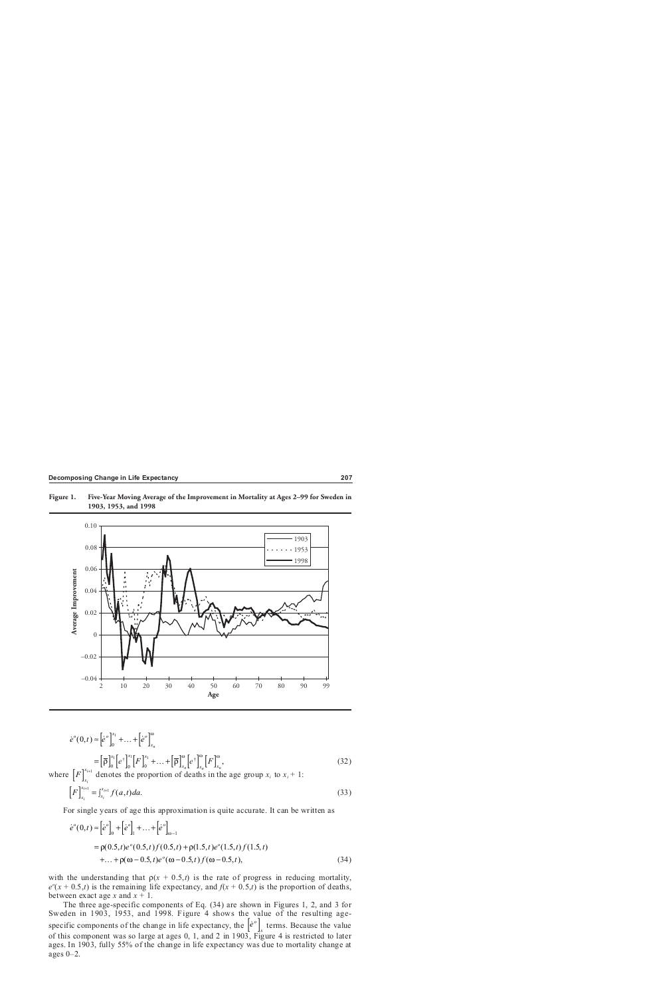



*e t <sup>o</sup> <sup>x</sup> xn* <sup>⋅</sup> <sup>≈</sup> [ ] + +[ ] (,) <sup>0</sup> <sup>0</sup> 1 <sup>K</sup> <sup>ω</sup> <sup>=</sup> [ ] ρ ρ [ ] [ ] + +[ ] [ ] [ ] <sup>ω</sup> <sup>ω</sup> <sup>ω</sup> 0 0 0 <sup>1</sup> <sup>1</sup> <sup>1</sup> *x x x <sup>x</sup> <sup>x</sup> <sup>x</sup> F F <sup>n</sup> <sup>n</sup> <sup>n</sup>* K , (32) *e*† *e*†  *e* ⋅ *<sup>o</sup> e* ⋅ *o*

where  $[F]_x^x$  $\left[ F \right]_{r}^{x_{i+1}}$ denotes the proportion of deaths in the age group  $x_i$  to  $x_i + 1$ :

$$
\left[F\right]_{x_i}^{x_{i+1}} = \int_{x_i}^{x_{i+1}} f(a,t)da.
$$
\n(33)

For single years of age this approximation is quite accurate. It can be written as

$$
\dot{e}^{\circ}(0,t) \approx \left[\dot{e}^{\circ}\right]_{0} + \left[\dot{e}^{\circ}\right]_{1} + \dots + \left[\dot{e}^{\circ}\right]_{\omega-1}
$$
  
=  $\rho(0.5, t)e^{\circ}(0.5, t)f(0.5, t) + \rho(1.5, t)e^{\circ}(1.5, t)f(1.5, t)$   
+ $\dots + \rho(\omega - 0.5, t)e^{\circ}(\omega - 0.5, t)f(\omega - 0.5, t),$  (34)

with the understanding that  $p(x + 0.5,t)$  is the rate of progress in reducing mortality,  $e^{o}(x + 0.5,t)$  is the remaining life expectancy, and  $f(x + 0.5,t)$  is the proportion of deaths, between exact age *x* and  $x + 1$ .

The three age-specific components of Eq. (34) are shown in Figures 1, 2, and 3 for Sweden in 1903, 1953, and 1998. Figure 4 shows the value of the resulting agespecific components of the change in life expectancy, the  $\left[e^{\phi}\right]_x$  terms. Because the value of this component was so large at ages 0, 1, and 2 in 1903, Figure 4 is restricted to later ages. In 1903, fully 55% of the change in life expectancy was due to mortality change at ages 0–2.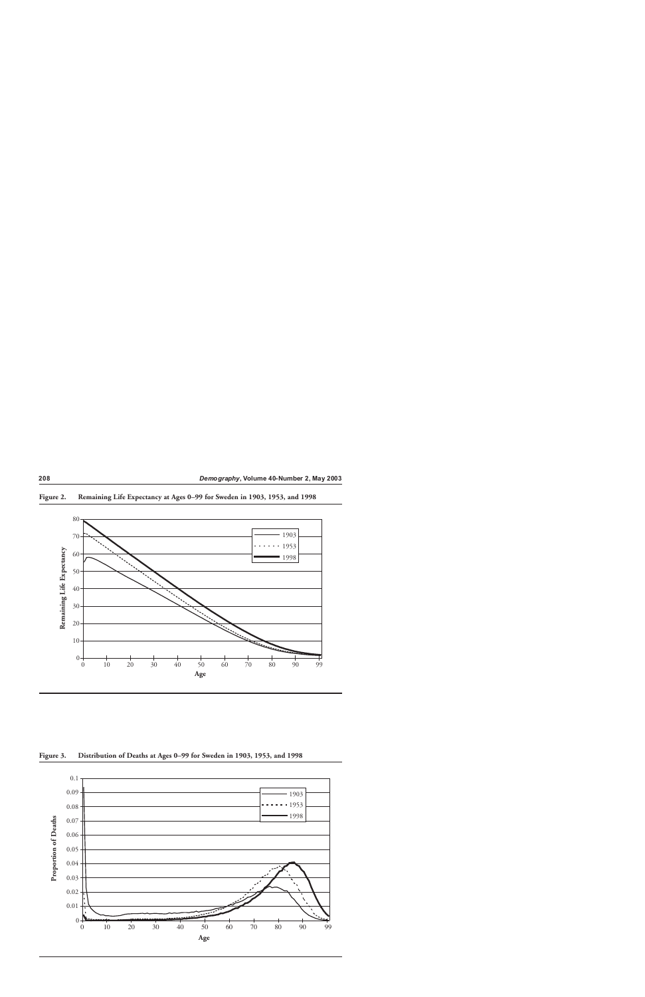

**Figure 2. Remaining Life Expectancy at Ages 0–99 for Sweden in 1903, 1953, and 1998**

**Figure 3. Distribution of Deaths at Ages 0–99 for Sweden in 1903, 1953, and 1998**

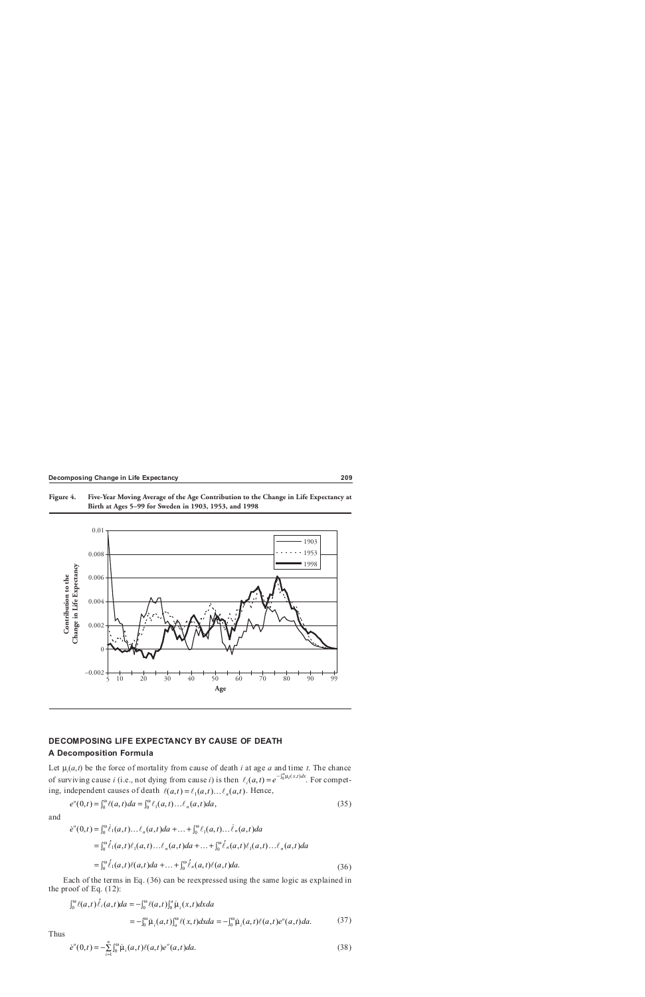



# **DECOMPOSING LIFE EXPECTANCY BY CAUSE OF DEATH A Decomposition Formula**

Let  $\mu_i(a,t)$  be the force of mortality from cause of death *i* at age *a* and time *t*. The chance of surviving cause *i* (i.e., not dying from cause *i*) is then  $\ell_i(a,t) = e^{-\int_0^a \mu_i(x,t)dx}$ . For competing, independent causes of death  $\ell(a,t) = \ell_1(a,t) \dots \ell_n(a,t)$ . Hence,

$$
e^{o}(0,t) = \int_0^{\omega} \ell(a,t)da = \int_0^{\omega} \ell_1(a,t) \dots \ell_n(a,t)da,
$$
\n(35)

and

$$
\dot{e}^{\circ}(0,t) = \int_0^{\omega} \dot{\ell}_1(a,t) \dots \ell_n(a,t) da + \dots + \int_0^{\omega} \ell_1(a,t) \dots \dot{\ell}_n(a,t) da \n= \int_0^{\omega} \dot{\ell}_1(a,t) \ell_1(a,t) \dots \ell_n(a,t) da + \dots + \int_0^{\omega} \dot{\ell}_n(a,t) \ell_1(a,t) \dots \ell_n(a,t) da \n= \int_0^{\omega} \dot{\ell}_1(a,t) \ell(a,t) da + \dots + \int_0^{\omega} \dot{\ell}_n(a,t) \ell(a,t) da.
$$
\n(36)

Each of the terms in Eq. (36) can be reexpressed using the same logic as explained in the proof of Eq. (12):

$$
\int_0^{\omega} \ell(a,t) \dot{\ell}_i(a,t) da = -\int_0^{\omega} \ell(a,t) \int_0^a \dot{\mu}_i(x,t) dxda
$$
  
=  $-\int_0^{\omega} \dot{\mu}_i(a,t) \int_a^{\omega} \ell(x,t) dxda = -\int_0^{\omega} \dot{\mu}_i(a,t) \ell(a,t) e^o(a,t) da.$  (37)

Thus

$$
\dot{e}^{\circ}(0,t) = -\sum_{i=1}^{n} \int_{0}^{\omega} \dot{\mu}_{i}(a,t) \ell(a,t) e^{\circ}(a,t) da.
$$
\n(38)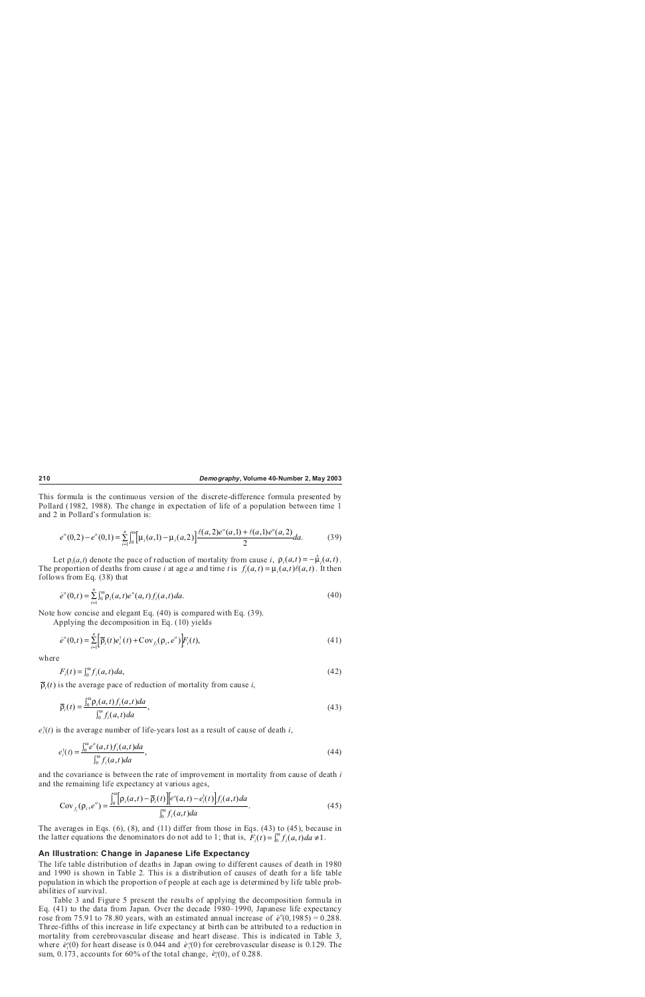This formula is the continuous version of the discrete-difference formula presented by Pollard (1982, 1988). The change in expectation of life of a population between time 1 and 2 in Pollard's formulation is:

$$
e^{\circ}(0,2) - e^{\circ}(0,1) = \sum_{i=1}^{n} \int_{0}^{\infty} \left[ \mu_{i}(a,1) - \mu_{i}(a,2) \right] \frac{\ell(a,2)e^{\circ}(a,1) + \ell(a,1)e^{\circ}(a,2)}{2} da. \tag{39}
$$

Let  $\rho_i(a,t)$  denote the pace of reduction of mortality from cause *i*,  $\rho_i(a,t) = -\mu_i(a,t)$ . The proportion of deaths from cause *i* at age *a* and time *t* is  $f_i(a,t) = \mu_i(a,t)\ell(a,t)$ . It then follows from Eq. (38) that

$$
\dot{e}^o(0,t) = \sum_{i=1}^n \int_0^{\omega} \rho_i(a,t) e^o(a,t) f_i(a,t) da.
$$
\n(40)

Note how concise and elegant Eq. (40) is compared with Eq. (39).

Applying the decomposition in Eq. (10) yields

$$
\dot{e}^{\circ}(0,t) = \sum_{i=1}^{n} \left[ \overline{\rho}_i(t) e_i^{\dagger}(t) + \text{Cov}_{f_i}(\rho_i, e^{\circ}) \right] F_i(t), \tag{41}
$$

where

$$
F_i(t) = \int_0^\omega f_i(a, t) da,\tag{42}
$$

 $\overline{\rho}_i(t)$  is the average pace of reduction of mortality from cause *i*,

$$
\overline{\rho}_i(t) = \frac{\int_0^\omega \rho_i(a,t) f_i(a,t) da}{\int_0^\omega f_i(a,t) da},\tag{43}
$$

*ei* † (*t*) is the average number of life-years lost as a result of cause of death *i*,

$$
e_i^{\dagger}(t) = \frac{\int_0^{\infty} e^{\circ}(a,t) f_i(a,t) da}{\int_0^{\infty} f_i(a,t) da},
$$
\n(44)

and the covariance is between the rate of improvement in mortality from cause of death *i* and the remaining life expectancy at various ages,

$$
Cov_{f_i}(\rho_i, e^{\circ}) = \frac{\int_0^{\infty} [\rho_i(a, t) - \overline{\rho}_i(t)][e^{\circ}(a, t) - e_i^*(t)] f_i(a, t) da}{\int_0^{\infty} f_i(a, t) da}.
$$
\n(45)

The averages in Eqs.  $(6)$ ,  $(8)$ , and  $(11)$  differ from those in Eqs.  $(43)$  to  $(45)$ , because in the latter equations the denominators do not add to 1; that is,  $F_i(t) = \int_0^{\omega} f_i(a, t) da \neq 1$ .

#### **An Illustration: Change in Japanese Life Expectancy**

The life table distribution of deaths in Japan owing to different causes of death in 1980 and 1990 is shown in Table 2. This is a distribution of causes of death for a life table population in which the proportion of people at each age is determined by life table probabilities of survival.

Table 3 and Figure 5 present the results of applying the decomposition formula in Eq. (41) to the data from Japan. Over the decade 1980–1990, Japanese life expectancy **rose from 75.91 to 78.80 years, with an estimated annual increase of** *e***<sup>***o***</sup>(0,1985) = 0.288.** Three-fifths of this increase in life expectancy at birth can be attributed to a reduction in mortality from cerebrovascular disease and heart disease. This is indicated in Table 3, where  $\dot{e}_i^o(0)$  for heart disease is 0.044 and  $\dot{e}_i^o(0)$  for cerebrovascular disease is 0.129. The sum, 0.173, accounts for 60% of the total change,  $\dot{e}_i^0(0)$ , of 0.288.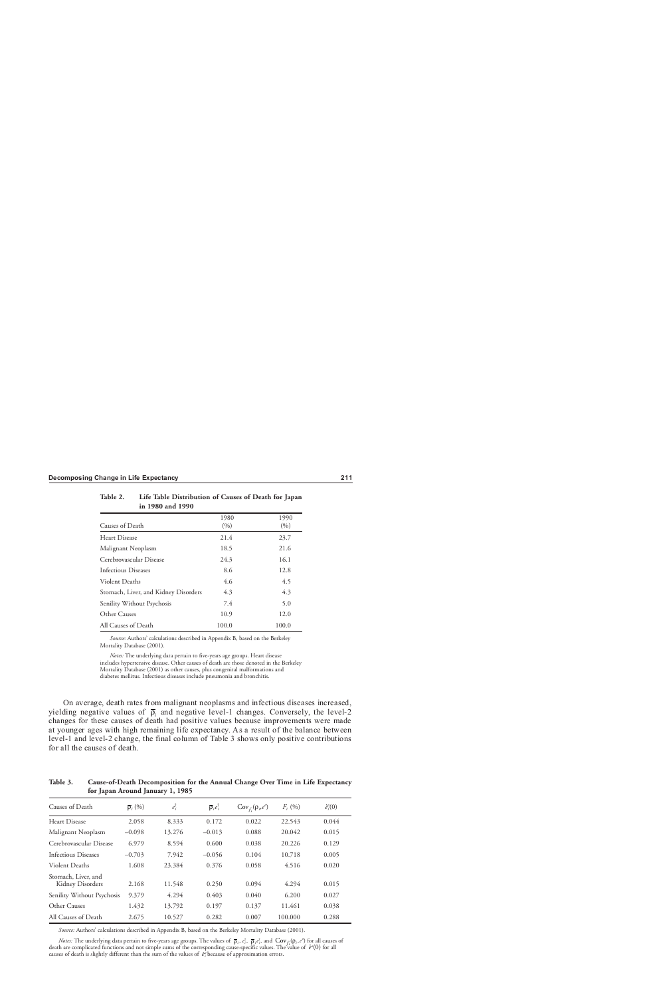| $\mu$ 1/00 and 1/70                  |               |               |
|--------------------------------------|---------------|---------------|
| Causes of Death                      | 1980<br>(9/0) | 1990<br>(9/0) |
| Heart Disease                        | 21.4          | 23.7          |
| Malignant Neoplasm                   | 18.5          | 21.6          |
| Cerebrovascular Disease              | 24.3          | 16.1          |
| Infectious Diseases                  | 8.6           | 12.8          |
| Violent Deaths                       | 4.6           | 4.5           |
| Stomach, Liver, and Kidney Disorders | 4.3           | 4.3           |
| Senility Without Psychosis           | 7.4           | 5.0           |
| Other Causes                         | 10.9          | 12.0          |
| All Causes of Death                  | 100.0         | 100.0         |

| Table 2. | Life Table Distribution of Causes of Death for Japan |
|----------|------------------------------------------------------|
|          | in 1980 and 1990                                     |

*Source:* Authors' calculations described in Appendix B, based on the Berkeley Mortality Database (2001).

*Notes:* The underlying data pertain to five-years age groups. Heart disease includes hypertensive disease. Other causes of death are those denoted in the Berkeley Mortality Database (2001) as other causes, plus congenital malformations and diabetes mellitus. Infectious diseases include pneumonia and bronchitis.

On average, death rates from malignant neoplasms and infectious diseases increased, yielding negative values of  $\bar{p}_i$  and negative level-1 changes. Conversely, the level-2 changes for these causes of death had positive values because improvements were made at younger ages with high remaining life expectancy. As a result of the balance between level-1 and level-2 change, the final column of Table 3 shows only positive contributions for all the causes of death.

**Table 3. Cause-of-Death Decomposition for the Annual Change Over Time in Life Expectancy for Japan Around January 1, 1985**

| Causes of Death                         | $\overline{\rho}$ , $(\%)$ | $e_i^{\dagger}$ | $\overline{\rho}_i e_i^{\dagger}$ | $Cov_{f_i}(\rho_i,e^{\rho})$ | $F_i(96)$ | $\dot{e}^{\rho}(0)$ |
|-----------------------------------------|----------------------------|-----------------|-----------------------------------|------------------------------|-----------|---------------------|
| Heart Disease                           | 2.058                      | 8.333           | 0.172                             | 0.022                        | 22.543    | 0.044               |
| Malignant Neoplasm                      | $-0.098$                   | 13.276          | $-0.013$                          | 0.088                        | 20.042    | 0.015               |
| Cerebrovascular Disease                 | 6.979                      | 8.594           | 0.600                             | 0.038                        | 20.226    | 0.129               |
| Infectious Diseases                     | $-0.703$                   | 7.942           | $-0.056$                          | 0.104                        | 10.718    | 0.005               |
| Violent Deaths                          | 1.608                      | 23.384          | 0.376                             | 0.058                        | 4.516     | 0.020               |
| Stomach, Liver, and<br>Kidney Disorders | 2.168                      | 11.548          | 0.250                             | 0.094                        | 4.294     | 0.015               |
| Senility Without Psychosis              | 9.379                      | 4.294           | 0.403                             | 0.040                        | 6.200     | 0.027               |
| Other Causes                            | 1.432                      | 13.792          | 0.197                             | 0.137                        | 11.461    | 0.038               |
| All Causes of Death                     | 2.675                      | 10.527          | 0.282                             | 0.007                        | 100.000   | 0.288               |

*Source:* Authors' calculations described in Appendix B, based on the Berkeley Mortality Database (2001).

*Notes:* The underlying data pertain to five-years age groups. The values of  $\bar{\rho}_i$ ,  $e_i^{\dagger}$ ,  $\bar{\rho}_i e_i^{\dagger}$ , and  $Cov_f(\rho_i, e^{\rho})$  for all causes of  $\alpha$  for all causes the complicated functions and not simple sums of the corresponding cause-specific values. The value of  $\dot{e}^o(0)$  for all causes causes of death is slightly different than the sum of the values of  $\dot{e}^{\rho}_i$  because of approximation errors.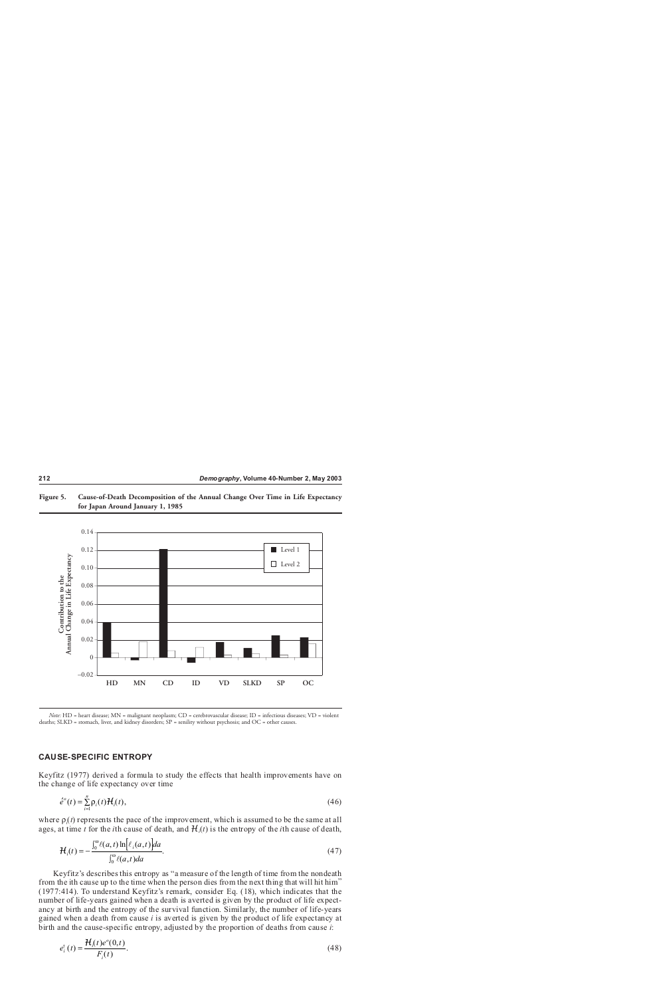



*Note:* HD = heart disease; MN = malignant neoplasm; CD = cerebrovascular disease; ID = infectious diseases; VD = violent deaths; SLKD = stomach, liver, and kidney disorders; SP = senility without psychosis; and OC = other causes.

# **CAUSE-SPECIFIC ENTROPY**

Keyfitz (1977) derived a formula to study the effects that health improvements have on the change of life expectancy over time

$$
\acute{e}^o(t) = \sum_{i=1}^n \rho_i(t) \mathcal{H}_i(t),\tag{46}
$$

where  $\rho_i(t)$  represents the pace of the improvement, which is assumed to be the same at all ages, at time *t* for the *i*th cause of death, and *H<sup>i</sup>* (*t*) is the entropy of the *i*th cause of death,

$$
\mathcal{H}_i(t) = -\frac{\int_0^\omega \ell(a,t) \ln \left[ \ell_i(a,t) \right] da}{\int_0^\omega \ell(a,t) da}.
$$
\n(47)

Keyfitz's describes this entropy as "a measure of the length of time from the nondeath from the ith cause up to the time when the person dies from the next thing that will hit him" (1977:414). To understand Keyfitz's remark, consider Eq. (18), which indicates that the number of life-years gained when a death is averted is given by the product of life expectancy at birth and the entropy of the survival function. Similarly, the number of life-years gained when a death from cause *i* is averted is given by the product of life expectancy at birth and the cause-specific entropy, adjusted by the proportion of deaths from cause *i*:

$$
e_i^{\dagger}(t) = \frac{\mathcal{H}_i(t)e^{\circ}(0,t)}{F_i(t)}.
$$
\n(48)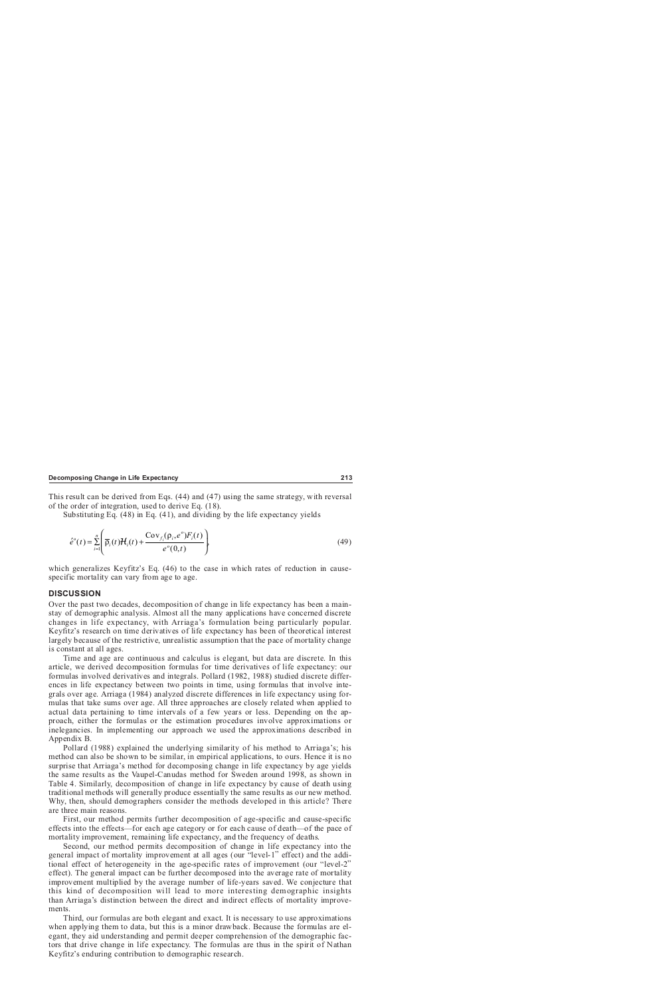This result can be derived from Eqs. (44) and (47) using the same strategy, with reversal of the order of integration, used to derive Eq. (18).

Substituting Eq. (48) in Eq. (41), and dividing by the life expectancy yields

$$
\acute{e}^o(t) = \sum_{i=1}^n \left( \overline{\rho}_i(t) \mathcal{H}_i(t) + \frac{\text{Cov}_{f_i}(\rho_i, e^o) F_i(t)}{e^o(0, t)} \right),\tag{49}
$$

which generalizes Keyfitz's Eq. (46) to the case in which rates of reduction in causespecific mortality can vary from age to age.

#### **DISCUSSION**

Over the past two decades, decomposition of change in life expectancy has been a mainstay of demographic analysis. Almost all the many applications have concerned discrete changes in life expectancy, with Arriaga's formulation being particularly popular. Keyfitz's research on time derivatives of life expectancy has been of theoretical interest largely because of the restrictive, unrealistic assumption that the pace of mortality change is constant at all ages.

Time and age are continuous and calculus is elegant, but data are discrete. In this article, we derived decomposition formulas for time derivatives of life expectancy: our formulas involved derivatives and integrals. Pollard (1982, 1988) studied discrete differences in life expectancy between two points in time, using formulas that involve integrals over age. Arriaga (1984) analyzed discrete differences in life expectancy using formulas that take sums over age. All three approaches are closely related when applied to actual data pertaining to time intervals of a few years or less. Depending on the approach, either the formulas or the estimation procedures involve approximations or inelegancies. In implementing our approach we used the approximations described in Appendix B.

Pollard (1988) explained the underlying similarity of his method to Arriaga's; his method can also be shown to be similar, in empirical applications, to ours. Hence it is no surprise that Arriaga's method for decomposing change in life expectancy by age yields the same results as the Vaupel-Canudas method for Sweden around 1998, as shown in Table 4. Similarly, decomposition of change in life expectancy by cause of death using traditional methods will generally produce essentially the same results as our new method. Why, then, should demographers consider the methods developed in this article? There are three main reasons.

First, our method permits further decomposition of age-specific and cause-specific effects into the effects—for each age category or for each cause of death—of the pace of mortality improvement, remaining life expectancy, and the frequency of deaths.

Second, our method permits decomposition of change in life expectancy into the general impact of mortality improvement at all ages (our "level-1" effect) and the additional effect of heterogeneity in the age-specific rates of improvement (our "level-2" effect). The general impact can be further decomposed into the average rate of mortality improvement multiplied by the average number of life-years saved. We conjecture that this kind of decomposition will lead to more interesting demographic insights than Arriaga's distinction between the direct and indirect effects of mortality improvements.

Third, our formulas are both elegant and exact. It is necessary to use approximations when applying them to data, but this is a minor drawback. Because the formulas are elegant, they aid understanding and permit deeper comprehension of the demographic factors that drive change in life expectancy. The formulas are thus in the spirit of Nathan Keyfitz's enduring contribution to demographic research.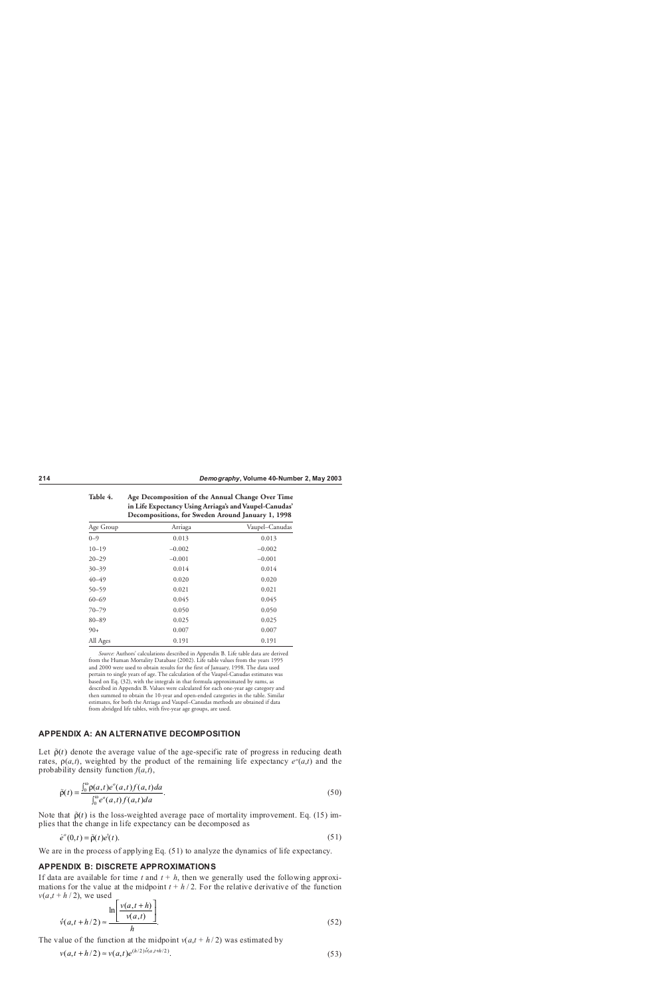|           | m Enc Expectancy Cong Armagas and vauper Canudas<br>Decompositions, for Sweden Around January 1, 1998 |                |  |
|-----------|-------------------------------------------------------------------------------------------------------|----------------|--|
| Age Group | Arriaga                                                                                               | Vaupel-Canudas |  |
| $0 - 9$   | 0.013                                                                                                 | 0.013          |  |
| $10 - 19$ | $-0.002$                                                                                              | $-0.002$       |  |
| $20 - 29$ | $-0.001$                                                                                              | $-0.001$       |  |
| $30 - 39$ | 0.014                                                                                                 | 0.014          |  |
| $40 - 49$ | 0.020                                                                                                 | 0.020          |  |
| $50 - 59$ | 0.021                                                                                                 | 0.021          |  |
| $60 - 69$ | 0.045                                                                                                 | 0.045          |  |
| $70 - 79$ | 0.050                                                                                                 | 0.050          |  |
| $80 - 89$ | 0.025                                                                                                 | 0.025          |  |
| $90+$     | 0.007                                                                                                 | 0.007          |  |
| All Ages  | 0.191                                                                                                 | 0.191          |  |

**Table 4. Age Decomposition of the Annual Change Over Time**

**in Life Expectancy Using Arriaga's and Vaupel-Canudas'**

*Source:* Authors' calculations described in Appendix B. Life table data are derived from the Human Mortality Database (2002). Life table values from the years 1995

and 2000 were used to obtain results for the first of January, 1998. The data used pertain to single years of age. The calculation of the Vaupel-Canudas estimates was based on Eq. (32), with the integrals in that formula approximated by sums, as described in Appendix B. Values were calculated for each one-year age category and then summed to obtain the 10-year and open-ended categories in the table. Similar estimates, for both the Arriaga and Vaupel–Canudas methods are obtained if data from abridged life tables, with five-year age groups, are used.

# **APPENDIX A: AN ALTERNATIVE DECOMPOSITION**

Let  $\tilde{\rho}(t)$  denote the average value of the age-specific rate of progress in reducing death rates,  $\rho(a,t)$ , weighted by the product of the remaining life expectancy  $e^o(a,t)$  and the probability density function  $f(a,t)$ ,

$$
\tilde{\rho}(t) = \frac{\int_0^{\omega} \rho(a,t)e^{\circ}(a,t)f(a,t)da}{\int_0^{\omega} e^{\circ}(a,t)f(a,t)da}.
$$
\n(50)

Note that  $\tilde{\rho}(t)$  is the loss-weighted average pace of mortality improvement. Eq. (15) implies that the change in life expectancy can be decomposed as

$$
\dot{e}^o(0,t) = \tilde{\rho}(t)e^{\dagger}(t). \tag{51}
$$

We are in the process of applying Eq.  $(51)$  to analyze the dynamics of life expectancy.

### **APPENDIX B: DISCRETE APPROXIMATIONS**

If data are available for time  $t$  and  $t + h$ , then we generally used the following approximations for the value at the midpoint  $t + h/2$ . For the relative derivative of the function  $v(a,t + h/2)$ , we used

$$
\acute{\nu}(a,t+h/2) \approx \frac{\ln\left[\frac{\nu(a,t+h)}{\nu(a,t)}\right]}{h}.\tag{52}
$$

The value of the function at the midpoint  $v(a, t + h/2)$  was estimated by

$$
v(a, t + h/2) \approx v(a, t)e^{(h/2)\acute{v}(a, t + h/2)}.
$$
\n(53)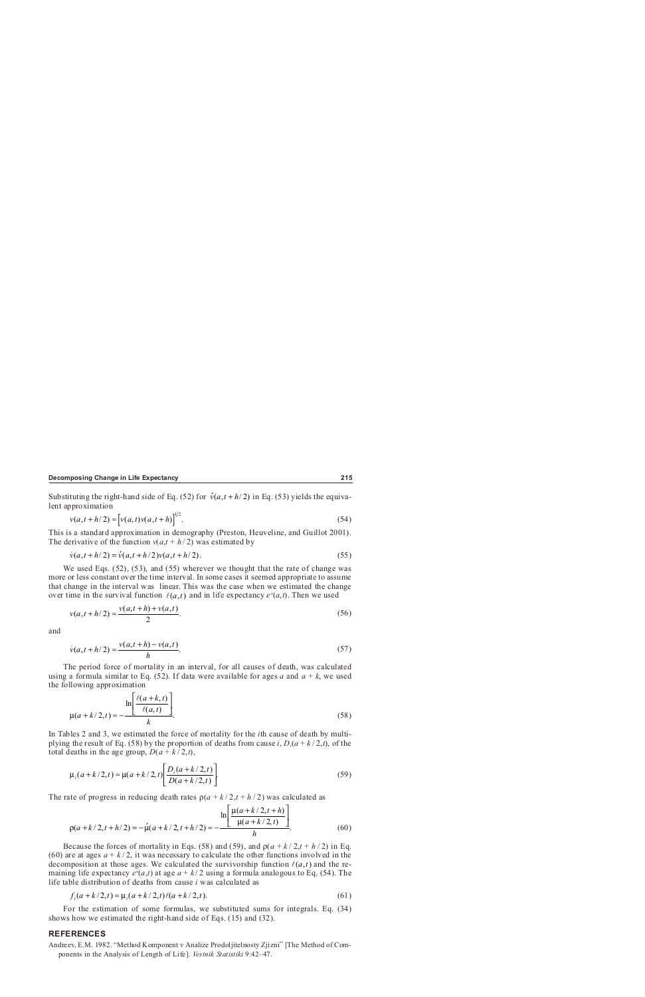Substituting the right-hand side of Eq. (52) for  $\acute{v}(a, t + h/2)$  in Eq. (53) yields the equivalent approximation

$$
v(a,t+h/2) \approx \left[v(a,t)v(a,t+h)\right]^{1/2}.\tag{54}
$$

This is a standard approximation in demography (Preston, Heuveline, and Guillot 2001). The derivative of the function  $v(a,t + h/2)$  was estimated by

$$
\dot{v}(a, t + h/2) = \dot{v}(a, t + h/2)v(a, t + h/2).
$$
\n(55)

We used Eqs.  $(52)$ ,  $(53)$ , and  $(55)$  wherever we thought that the rate of change was more or less constant over the time interval. In some cases it seemed appropriate to assume that change in the interval was linear. This was the case when we estimated the change over time in the survival function  $\ell(a,t)$  and in life expectancy  $e^o(a,t)$ . Then we used

$$
v(a, t + h/2) \approx \frac{v(a, t + h) + v(a, t)}{2}.
$$
 (56)

and

$$
\dot{v}(a,t+h/2) \approx \frac{v(a,t+h) - v(a,t)}{h}.\tag{57}
$$

The period force of mortality in an interval, for all causes of death, was calculated using a formula similar to Eq. (52). If data were available for ages *a* and  $a + k$ , we used the following approximation

$$
\mu(a+k/2,t) \approx -\frac{\ln\left[\frac{\ell(a+k,t)}{\ell(a,t)}\right]}{k}.\tag{58}
$$

In Tables 2 and 3, we estimated the force of mortality for the *i*th cause of death by multiplying the result of Eq. (58) by the proportion of deaths from cause *i*,  $D_i(a + k/2,t)$ , of the total deaths in the age group,  $D(a + k/2,t)$ ,

$$
\mu_i(a+k/2,t) \approx \mu(a+k/2,t) \left[ \frac{D_i(a+k/2,t)}{D(a+k/2,t)} \right].
$$
\n(59)

The rate of progress in reducing death rates  $\rho(a + k/2, t + h/2)$  was calculated as

$$
\rho(a+k/2,t+h/2) = -\mu(a+k/2,t+h/2) \approx -\frac{\ln\left[\frac{\mu(a+k/2,t+h)}{\mu(a+k/2,t)}\right]}{h}.
$$
\n(60)

Because the forces of mortality in Eqs. (58) and (59), and  $p(a + k/2, t + h/2)$  in Eq. (60) are at ages  $a + k/2$ , it was necessary to calculate the other functions involved in the decomposition at those ages. We calculated the survivorship function  $\ell(a,t)$  and the remaining life expectancy  $e^o(a,t)$  at age  $a + k/2$  using a formula analogous to Eq. (54). The life table distribution of deaths from cause *i* was calculated as

$$
f_i(a+k/2,t) \approx \mu_i(a+k/2,t)\ell(a+k/2,t).
$$
 (61)

For the estimation of some formulas, we substituted sums for integrals. Eq. (34) shows how we estimated the right-hand side of Eqs. (15) and (32).

#### **REFERENCES**

Andreev, E.M. 1982. "Method Komponent v Analize Prodoljitelnosty Zjizni" [The Method of Components in the Analysis of Length of Life]. *Vestnik Statistiki* 9:42–47.